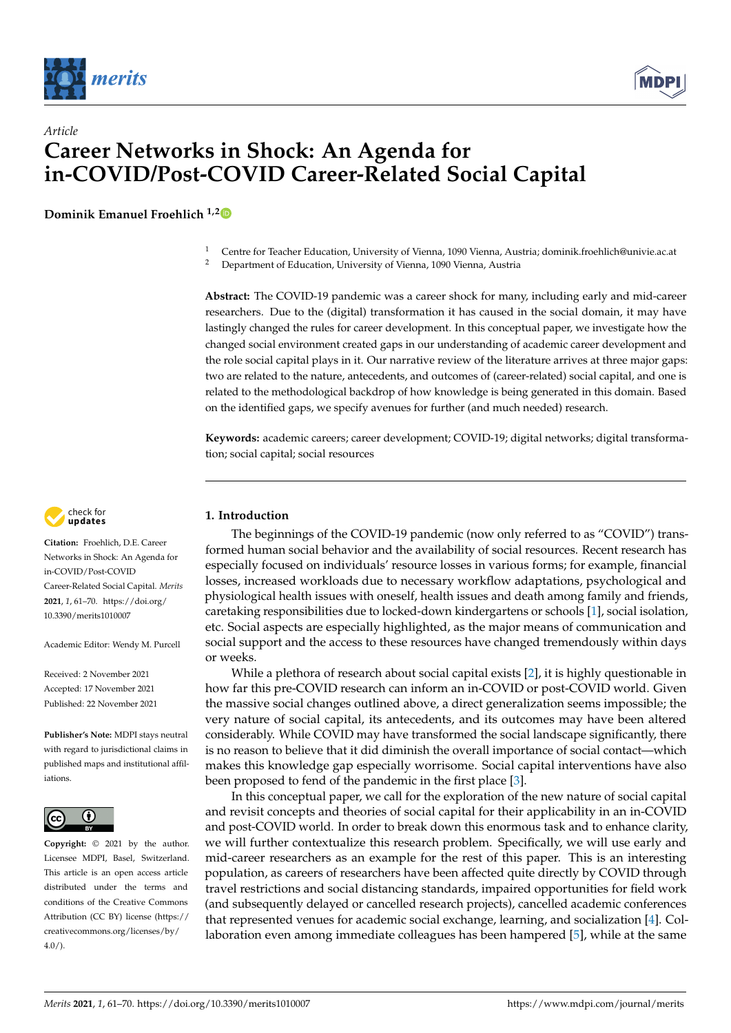



# *Article* **Career Networks in Shock: An Agenda for in-COVID/Post-COVID Career-Related Social Capital**

**Dominik Emanuel Froehlich 1,[2](https://orcid.org/0000-0002-9991-2784)**

<sup>2</sup> Department of Education, University of Vienna, 1090 Vienna, Austria

**Abstract:** The COVID-19 pandemic was a career shock for many, including early and mid-career researchers. Due to the (digital) transformation it has caused in the social domain, it may have lastingly changed the rules for career development. In this conceptual paper, we investigate how the changed social environment created gaps in our understanding of academic career development and the role social capital plays in it. Our narrative review of the literature arrives at three major gaps: two are related to the nature, antecedents, and outcomes of (career-related) social capital, and one is related to the methodological backdrop of how knowledge is being generated in this domain. Based on the identified gaps, we specify avenues for further (and much needed) research.

**Keywords:** academic careers; career development; COVID-19; digital networks; digital transformation; social capital; social resources



**Citation:** Froehlich, D.E. Career Networks in Shock: An Agenda for in-COVID/Post-COVID Career-Related Social Capital. *Merits* **2021**, *1*, 61–70. [https://doi.org/](https://doi.org/10.3390/merits1010007) [10.3390/merits1010007](https://doi.org/10.3390/merits1010007)

Academic Editor: Wendy M. Purcell

Received: 2 November 2021 Accepted: 17 November 2021 Published: 22 November 2021

**Publisher's Note:** MDPI stays neutral with regard to jurisdictional claims in published maps and institutional affiliations.



**Copyright:** © 2021 by the author. Licensee MDPI, Basel, Switzerland. This article is an open access article distributed under the terms and conditions of the Creative Commons Attribution (CC BY) license (https:/[/](https://creativecommons.org/licenses/by/4.0/) [creativecommons.org/licenses/by/](https://creativecommons.org/licenses/by/4.0/)  $4.0/$ ).

## **1. Introduction**

The beginnings of the COVID-19 pandemic (now only referred to as "COVID") transformed human social behavior and the availability of social resources. Recent research has especially focused on individuals' resource losses in various forms; for example, financial losses, increased workloads due to necessary workflow adaptations, psychological and physiological health issues with oneself, health issues and death among family and friends, caretaking responsibilities due to locked-down kindergartens or schools [\[1\]](#page-6-0), social isolation, etc. Social aspects are especially highlighted, as the major means of communication and social support and the access to these resources have changed tremendously within days or weeks.

While a plethora of research about social capital exists [\[2\]](#page-6-1), it is highly questionable in how far this pre-COVID research can inform an in-COVID or post-COVID world. Given the massive social changes outlined above, a direct generalization seems impossible; the very nature of social capital, its antecedents, and its outcomes may have been altered considerably. While COVID may have transformed the social landscape significantly, there is no reason to believe that it did diminish the overall importance of social contact—which makes this knowledge gap especially worrisome. Social capital interventions have also been proposed to fend of the pandemic in the first place [\[3\]](#page-6-2).

In this conceptual paper, we call for the exploration of the new nature of social capital and revisit concepts and theories of social capital for their applicability in an in-COVID and post-COVID world. In order to break down this enormous task and to enhance clarity, we will further contextualize this research problem. Specifically, we will use early and mid-career researchers as an example for the rest of this paper. This is an interesting population, as careers of researchers have been affected quite directly by COVID through travel restrictions and social distancing standards, impaired opportunities for field work (and subsequently delayed or cancelled research projects), cancelled academic conferences that represented venues for academic social exchange, learning, and socialization [\[4\]](#page-6-3). Collaboration even among immediate colleagues has been hampered [\[5\]](#page-6-4), while at the same

<sup>&</sup>lt;sup>1</sup> Centre for Teacher Education, University of Vienna, 1090 Vienna, Austria; dominik.froehlich@univie.ac.at<br><sup>2</sup> Department of Education, University of Vienna, 1090 Vienna, Austria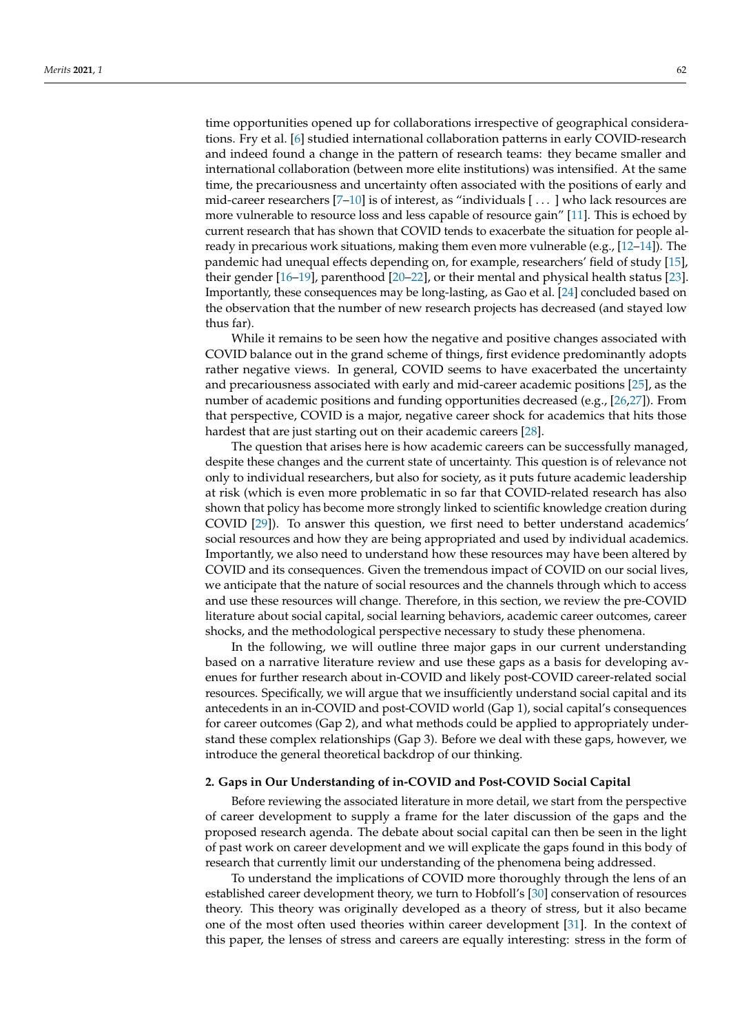time opportunities opened up for collaborations irrespective of geographical considerations. Fry et al. [\[6\]](#page-6-5) studied international collaboration patterns in early COVID-research and indeed found a change in the pattern of research teams: they became smaller and international collaboration (between more elite institutions) was intensified. At the same time, the precariousness and uncertainty often associated with the positions of early and mid-career researchers [\[7–](#page-6-6)[10\]](#page-6-7) is of interest, as "individuals [ . . . ] who lack resources are more vulnerable to resource loss and less capable of resource gain" [\[11\]](#page-6-8). This is echoed by current research that has shown that COVID tends to exacerbate the situation for people already in precarious work situations, making them even more vulnerable (e.g., [\[12](#page-6-9)[–14\]](#page-6-10)). The pandemic had unequal effects depending on, for example, researchers' field of study [\[15\]](#page-7-0), their gender [\[16](#page-7-1)[–19\]](#page-7-2), parenthood [\[20–](#page-7-3)[22\]](#page-7-4), or their mental and physical health status [\[23\]](#page-7-5). Importantly, these consequences may be long-lasting, as Gao et al. [\[24\]](#page-7-6) concluded based on the observation that the number of new research projects has decreased (and stayed low thus far).

While it remains to be seen how the negative and positive changes associated with COVID balance out in the grand scheme of things, first evidence predominantly adopts rather negative views. In general, COVID seems to have exacerbated the uncertainty and precariousness associated with early and mid-career academic positions [\[25\]](#page-7-7), as the number of academic positions and funding opportunities decreased (e.g., [\[26](#page-7-8)[,27\]](#page-7-9)). From that perspective, COVID is a major, negative career shock for academics that hits those hardest that are just starting out on their academic careers [\[28\]](#page-7-10).

The question that arises here is how academic careers can be successfully managed, despite these changes and the current state of uncertainty. This question is of relevance not only to individual researchers, but also for society, as it puts future academic leadership at risk (which is even more problematic in so far that COVID-related research has also shown that policy has become more strongly linked to scientific knowledge creation during COVID [\[29\]](#page-7-11)). To answer this question, we first need to better understand academics' social resources and how they are being appropriated and used by individual academics. Importantly, we also need to understand how these resources may have been altered by COVID and its consequences. Given the tremendous impact of COVID on our social lives, we anticipate that the nature of social resources and the channels through which to access and use these resources will change. Therefore, in this section, we review the pre-COVID literature about social capital, social learning behaviors, academic career outcomes, career shocks, and the methodological perspective necessary to study these phenomena.

In the following, we will outline three major gaps in our current understanding based on a narrative literature review and use these gaps as a basis for developing avenues for further research about in-COVID and likely post-COVID career-related social resources. Specifically, we will argue that we insufficiently understand social capital and its antecedents in an in-COVID and post-COVID world (Gap 1), social capital's consequences for career outcomes (Gap 2), and what methods could be applied to appropriately understand these complex relationships (Gap 3). Before we deal with these gaps, however, we introduce the general theoretical backdrop of our thinking.

### **2. Gaps in Our Understanding of in-COVID and Post-COVID Social Capital**

Before reviewing the associated literature in more detail, we start from the perspective of career development to supply a frame for the later discussion of the gaps and the proposed research agenda. The debate about social capital can then be seen in the light of past work on career development and we will explicate the gaps found in this body of research that currently limit our understanding of the phenomena being addressed.

To understand the implications of COVID more thoroughly through the lens of an established career development theory, we turn to Hobfoll's [\[30\]](#page-7-12) conservation of resources theory. This theory was originally developed as a theory of stress, but it also became one of the most often used theories within career development [\[31\]](#page-7-13). In the context of this paper, the lenses of stress and careers are equally interesting: stress in the form of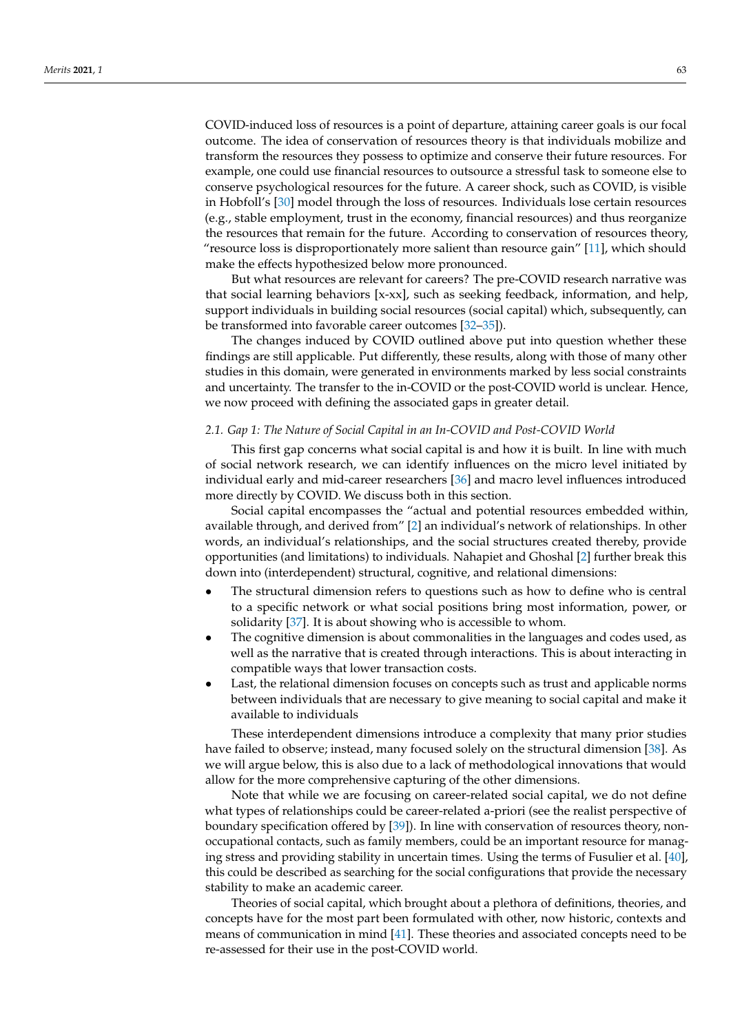COVID-induced loss of resources is a point of departure, attaining career goals is our focal outcome. The idea of conservation of resources theory is that individuals mobilize and transform the resources they possess to optimize and conserve their future resources. For example, one could use financial resources to outsource a stressful task to someone else to conserve psychological resources for the future. A career shock, such as COVID, is visible in Hobfoll's [\[30\]](#page-7-12) model through the loss of resources. Individuals lose certain resources (e.g., stable employment, trust in the economy, financial resources) and thus reorganize the resources that remain for the future. According to conservation of resources theory, "resource loss is disproportionately more salient than resource gain" [\[11\]](#page-6-8), which should make the effects hypothesized below more pronounced.

But what resources are relevant for careers? The pre-COVID research narrative was that social learning behaviors [x-xx], such as seeking feedback, information, and help, support individuals in building social resources (social capital) which, subsequently, can be transformed into favorable career outcomes [\[32](#page-7-14)[–35\]](#page-7-15)).

The changes induced by COVID outlined above put into question whether these findings are still applicable. Put differently, these results, along with those of many other studies in this domain, were generated in environments marked by less social constraints and uncertainty. The transfer to the in-COVID or the post-COVID world is unclear. Hence, we now proceed with defining the associated gaps in greater detail.

#### *2.1. Gap 1: The Nature of Social Capital in an In-COVID and Post-COVID World*

This first gap concerns what social capital is and how it is built. In line with much of social network research, we can identify influences on the micro level initiated by individual early and mid-career researchers [\[36\]](#page-7-16) and macro level influences introduced more directly by COVID. We discuss both in this section.

Social capital encompasses the "actual and potential resources embedded within, available through, and derived from" [\[2\]](#page-6-1) an individual's network of relationships. In other words, an individual's relationships, and the social structures created thereby, provide opportunities (and limitations) to individuals. Nahapiet and Ghoshal [\[2\]](#page-6-1) further break this down into (interdependent) structural, cognitive, and relational dimensions:

- The structural dimension refers to questions such as how to define who is central to a specific network or what social positions bring most information, power, or solidarity [\[37\]](#page-7-17). It is about showing who is accessible to whom.
- The cognitive dimension is about commonalities in the languages and codes used, as well as the narrative that is created through interactions. This is about interacting in compatible ways that lower transaction costs.
- Last, the relational dimension focuses on concepts such as trust and applicable norms between individuals that are necessary to give meaning to social capital and make it available to individuals

These interdependent dimensions introduce a complexity that many prior studies have failed to observe; instead, many focused solely on the structural dimension [\[38\]](#page-7-18). As we will argue below, this is also due to a lack of methodological innovations that would allow for the more comprehensive capturing of the other dimensions.

Note that while we are focusing on career-related social capital, we do not define what types of relationships could be career-related a-priori (see the realist perspective of boundary specification offered by [\[39\]](#page-7-19)). In line with conservation of resources theory, nonoccupational contacts, such as family members, could be an important resource for managing stress and providing stability in uncertain times. Using the terms of Fusulier et al. [\[40\]](#page-7-20), this could be described as searching for the social configurations that provide the necessary stability to make an academic career.

Theories of social capital, which brought about a plethora of definitions, theories, and concepts have for the most part been formulated with other, now historic, contexts and means of communication in mind [\[41\]](#page-7-21). These theories and associated concepts need to be re-assessed for their use in the post-COVID world.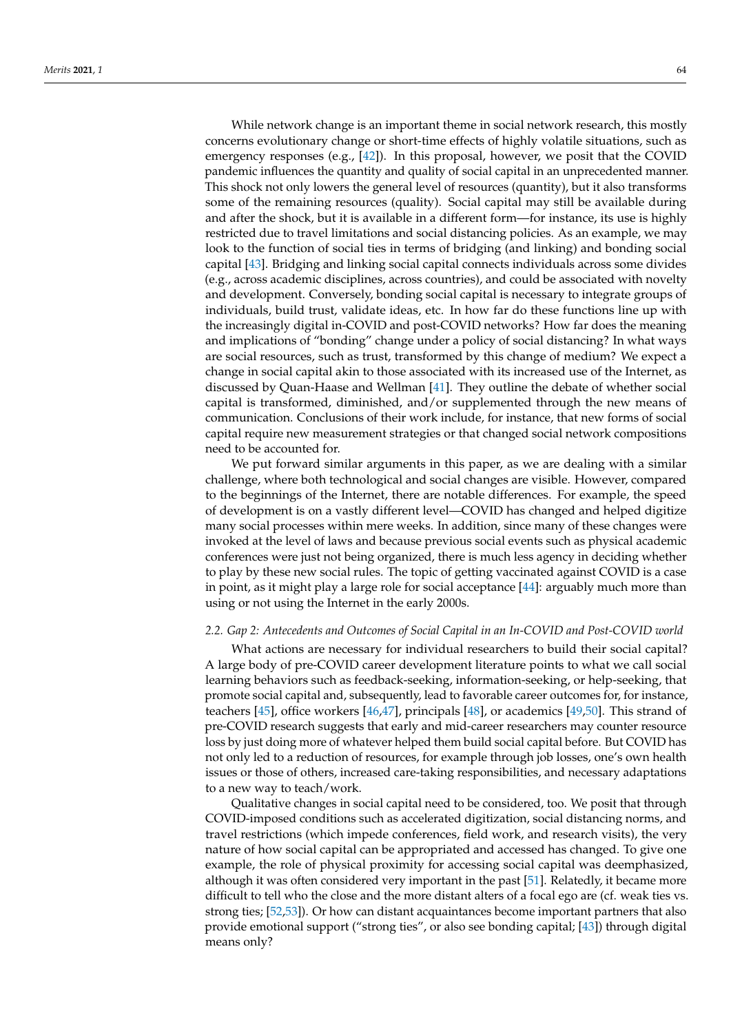While network change is an important theme in social network research, this mostly concerns evolutionary change or short-time effects of highly volatile situations, such as emergency responses (e.g., [\[42\]](#page-7-22)). In this proposal, however, we posit that the COVID pandemic influences the quantity and quality of social capital in an unprecedented manner. This shock not only lowers the general level of resources (quantity), but it also transforms some of the remaining resources (quality). Social capital may still be available during and after the shock, but it is available in a different form—for instance, its use is highly restricted due to travel limitations and social distancing policies. As an example, we may look to the function of social ties in terms of bridging (and linking) and bonding social capital [\[43\]](#page-7-23). Bridging and linking social capital connects individuals across some divides (e.g., across academic disciplines, across countries), and could be associated with novelty and development. Conversely, bonding social capital is necessary to integrate groups of individuals, build trust, validate ideas, etc. In how far do these functions line up with the increasingly digital in-COVID and post-COVID networks? How far does the meaning and implications of "bonding" change under a policy of social distancing? In what ways are social resources, such as trust, transformed by this change of medium? We expect a change in social capital akin to those associated with its increased use of the Internet, as discussed by Quan-Haase and Wellman [\[41\]](#page-7-21). They outline the debate of whether social capital is transformed, diminished, and/or supplemented through the new means of communication. Conclusions of their work include, for instance, that new forms of social capital require new measurement strategies or that changed social network compositions need to be accounted for.

We put forward similar arguments in this paper, as we are dealing with a similar challenge, where both technological and social changes are visible. However, compared to the beginnings of the Internet, there are notable differences. For example, the speed of development is on a vastly different level—COVID has changed and helped digitize many social processes within mere weeks. In addition, since many of these changes were invoked at the level of laws and because previous social events such as physical academic conferences were just not being organized, there is much less agency in deciding whether to play by these new social rules. The topic of getting vaccinated against COVID is a case in point, as it might play a large role for social acceptance [\[44\]](#page-8-0): arguably much more than using or not using the Internet in the early 2000s.

#### *2.2. Gap 2: Antecedents and Outcomes of Social Capital in an In-COVID and Post-COVID world*

What actions are necessary for individual researchers to build their social capital? A large body of pre-COVID career development literature points to what we call social learning behaviors such as feedback-seeking, information-seeking, or help-seeking, that promote social capital and, subsequently, lead to favorable career outcomes for, for instance, teachers [\[45\]](#page-8-1), office workers [\[46](#page-8-2)[,47\]](#page-8-3), principals [\[48\]](#page-8-4), or academics [\[49](#page-8-5)[,50\]](#page-8-6). This strand of pre-COVID research suggests that early and mid-career researchers may counter resource loss by just doing more of whatever helped them build social capital before. But COVID has not only led to a reduction of resources, for example through job losses, one's own health issues or those of others, increased care-taking responsibilities, and necessary adaptations to a new way to teach/work.

Qualitative changes in social capital need to be considered, too. We posit that through COVID-imposed conditions such as accelerated digitization, social distancing norms, and travel restrictions (which impede conferences, field work, and research visits), the very nature of how social capital can be appropriated and accessed has changed. To give one example, the role of physical proximity for accessing social capital was deemphasized, although it was often considered very important in the past [\[51\]](#page-8-7). Relatedly, it became more difficult to tell who the close and the more distant alters of a focal ego are (cf. weak ties vs. strong ties; [\[52](#page-8-8)[,53\]](#page-8-9)). Or how can distant acquaintances become important partners that also provide emotional support ("strong ties", or also see bonding capital; [\[43\]](#page-7-23)) through digital means only?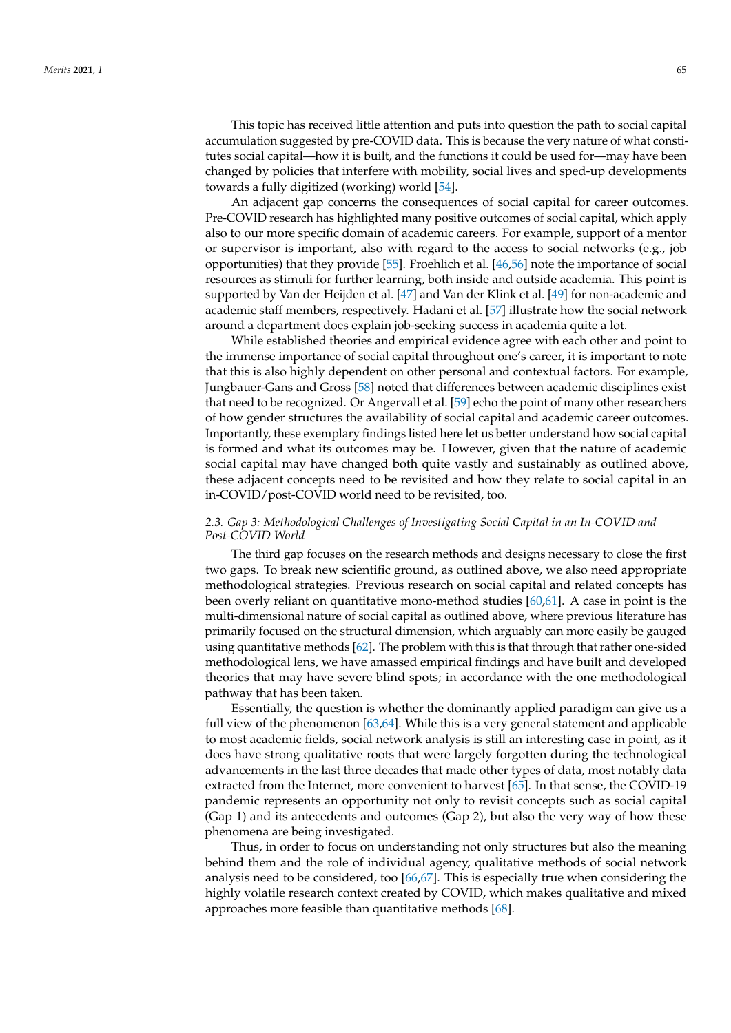This topic has received little attention and puts into question the path to social capital accumulation suggested by pre-COVID data. This is because the very nature of what constitutes social capital—how it is built, and the functions it could be used for—may have been changed by policies that interfere with mobility, social lives and sped-up developments towards a fully digitized (working) world [\[54\]](#page-8-10).

An adjacent gap concerns the consequences of social capital for career outcomes. Pre-COVID research has highlighted many positive outcomes of social capital, which apply also to our more specific domain of academic careers. For example, support of a mentor or supervisor is important, also with regard to the access to social networks (e.g., job opportunities) that they provide [\[55\]](#page-8-11). Froehlich et al. [\[46,](#page-8-2)[56\]](#page-8-12) note the importance of social resources as stimuli for further learning, both inside and outside academia. This point is supported by Van der Heijden et al. [\[47\]](#page-8-3) and Van der Klink et al. [\[49\]](#page-8-5) for non-academic and academic staff members, respectively. Hadani et al. [\[57\]](#page-8-13) illustrate how the social network around a department does explain job-seeking success in academia quite a lot.

While established theories and empirical evidence agree with each other and point to the immense importance of social capital throughout one's career, it is important to note that this is also highly dependent on other personal and contextual factors. For example, Jungbauer-Gans and Gross [\[58\]](#page-8-14) noted that differences between academic disciplines exist that need to be recognized. Or Angervall et al. [\[59\]](#page-8-15) echo the point of many other researchers of how gender structures the availability of social capital and academic career outcomes. Importantly, these exemplary findings listed here let us better understand how social capital is formed and what its outcomes may be. However, given that the nature of academic social capital may have changed both quite vastly and sustainably as outlined above, these adjacent concepts need to be revisited and how they relate to social capital in an in-COVID/post-COVID world need to be revisited, too.

### *2.3. Gap 3: Methodological Challenges of Investigating Social Capital in an In-COVID and Post-COVID World*

The third gap focuses on the research methods and designs necessary to close the first two gaps. To break new scientific ground, as outlined above, we also need appropriate methodological strategies. Previous research on social capital and related concepts has been overly reliant on quantitative mono-method studies  $[60,61]$  $[60,61]$ . A case in point is the multi-dimensional nature of social capital as outlined above, where previous literature has primarily focused on the structural dimension, which arguably can more easily be gauged using quantitative methods [\[62\]](#page-8-18). The problem with this is that through that rather one-sided methodological lens, we have amassed empirical findings and have built and developed theories that may have severe blind spots; in accordance with the one methodological pathway that has been taken.

Essentially, the question is whether the dominantly applied paradigm can give us a full view of the phenomenon [\[63](#page-8-19)[,64\]](#page-8-20). While this is a very general statement and applicable to most academic fields, social network analysis is still an interesting case in point, as it does have strong qualitative roots that were largely forgotten during the technological advancements in the last three decades that made other types of data, most notably data extracted from the Internet, more convenient to harvest [\[65\]](#page-8-21). In that sense, the COVID-19 pandemic represents an opportunity not only to revisit concepts such as social capital (Gap 1) and its antecedents and outcomes (Gap 2), but also the very way of how these phenomena are being investigated.

Thus, in order to focus on understanding not only structures but also the meaning behind them and the role of individual agency, qualitative methods of social network analysis need to be considered, too [\[66,](#page-8-22)[67\]](#page-8-23). This is especially true when considering the highly volatile research context created by COVID, which makes qualitative and mixed approaches more feasible than quantitative methods [\[68\]](#page-8-24).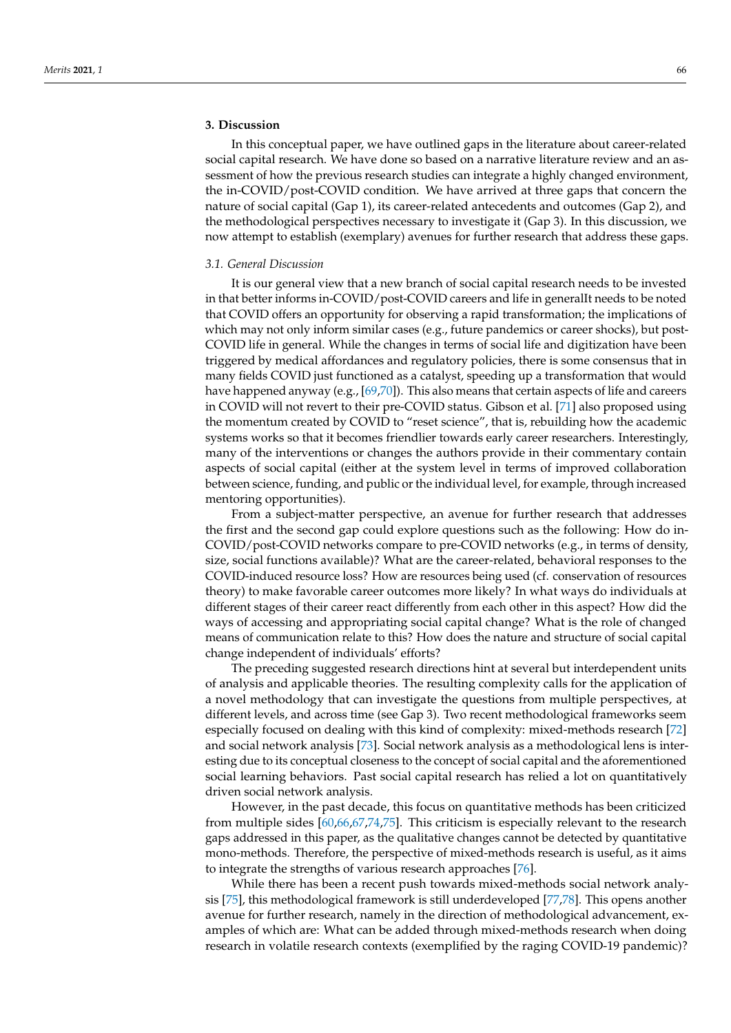## **3. Discussion**

In this conceptual paper, we have outlined gaps in the literature about career-related social capital research. We have done so based on a narrative literature review and an assessment of how the previous research studies can integrate a highly changed environment, the in-COVID/post-COVID condition. We have arrived at three gaps that concern the nature of social capital (Gap 1), its career-related antecedents and outcomes (Gap 2), and the methodological perspectives necessary to investigate it (Gap 3). In this discussion, we now attempt to establish (exemplary) avenues for further research that address these gaps.

#### *3.1. General Discussion*

It is our general view that a new branch of social capital research needs to be invested in that better informs in-COVID/post-COVID careers and life in generalIt needs to be noted that COVID offers an opportunity for observing a rapid transformation; the implications of which may not only inform similar cases (e.g., future pandemics or career shocks), but post-COVID life in general. While the changes in terms of social life and digitization have been triggered by medical affordances and regulatory policies, there is some consensus that in many fields COVID just functioned as a catalyst, speeding up a transformation that would have happened anyway (e.g., [\[69](#page-8-25)[,70\]](#page-8-26)). This also means that certain aspects of life and careers in COVID will not revert to their pre-COVID status. Gibson et al. [\[71\]](#page-8-27) also proposed using the momentum created by COVID to "reset science", that is, rebuilding how the academic systems works so that it becomes friendlier towards early career researchers. Interestingly, many of the interventions or changes the authors provide in their commentary contain aspects of social capital (either at the system level in terms of improved collaboration between science, funding, and public or the individual level, for example, through increased mentoring opportunities).

From a subject-matter perspective, an avenue for further research that addresses the first and the second gap could explore questions such as the following: How do in-COVID/post-COVID networks compare to pre-COVID networks (e.g., in terms of density, size, social functions available)? What are the career-related, behavioral responses to the COVID-induced resource loss? How are resources being used (cf. conservation of resources theory) to make favorable career outcomes more likely? In what ways do individuals at different stages of their career react differently from each other in this aspect? How did the ways of accessing and appropriating social capital change? What is the role of changed means of communication relate to this? How does the nature and structure of social capital change independent of individuals' efforts?

The preceding suggested research directions hint at several but interdependent units of analysis and applicable theories. The resulting complexity calls for the application of a novel methodology that can investigate the questions from multiple perspectives, at different levels, and across time (see Gap 3). Two recent methodological frameworks seem especially focused on dealing with this kind of complexity: mixed-methods research [\[72\]](#page-8-28) and social network analysis [\[73\]](#page-9-0). Social network analysis as a methodological lens is interesting due to its conceptual closeness to the concept of social capital and the aforementioned social learning behaviors. Past social capital research has relied a lot on quantitatively driven social network analysis.

However, in the past decade, this focus on quantitative methods has been criticized from multiple sides [\[60,](#page-8-16)[66,](#page-8-22)[67,](#page-8-23)[74,](#page-9-1)[75\]](#page-9-2). This criticism is especially relevant to the research gaps addressed in this paper, as the qualitative changes cannot be detected by quantitative mono-methods. Therefore, the perspective of mixed-methods research is useful, as it aims to integrate the strengths of various research approaches [\[76\]](#page-9-3).

While there has been a recent push towards mixed-methods social network analysis [\[75\]](#page-9-2), this methodological framework is still underdeveloped [\[77,](#page-9-4)[78\]](#page-9-5). This opens another avenue for further research, namely in the direction of methodological advancement, examples of which are: What can be added through mixed-methods research when doing research in volatile research contexts (exemplified by the raging COVID-19 pandemic)?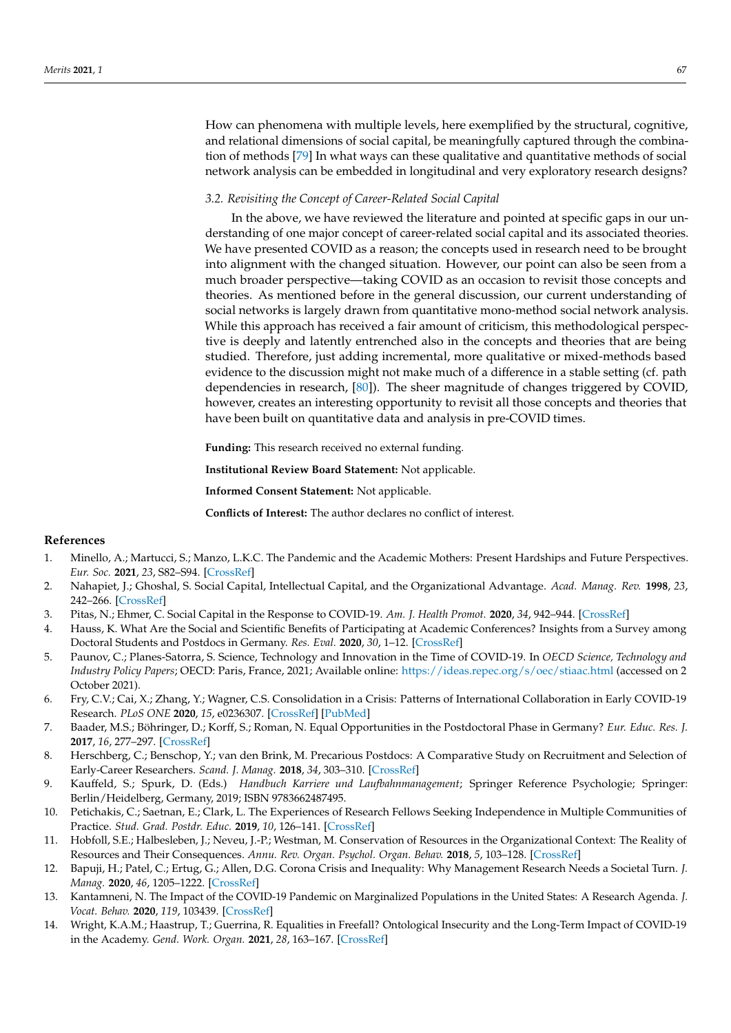How can phenomena with multiple levels, here exemplified by the structural, cognitive, and relational dimensions of social capital, be meaningfully captured through the combination of methods [\[79\]](#page-9-6) In what ways can these qualitative and quantitative methods of social network analysis can be embedded in longitudinal and very exploratory research designs?

#### *3.2. Revisiting the Concept of Career-Related Social Capital*

In the above, we have reviewed the literature and pointed at specific gaps in our understanding of one major concept of career-related social capital and its associated theories. We have presented COVID as a reason; the concepts used in research need to be brought into alignment with the changed situation. However, our point can also be seen from a much broader perspective—taking COVID as an occasion to revisit those concepts and theories. As mentioned before in the general discussion, our current understanding of social networks is largely drawn from quantitative mono-method social network analysis. While this approach has received a fair amount of criticism, this methodological perspective is deeply and latently entrenched also in the concepts and theories that are being studied. Therefore, just adding incremental, more qualitative or mixed-methods based evidence to the discussion might not make much of a difference in a stable setting (cf. path dependencies in research, [\[80\]](#page-9-7)). The sheer magnitude of changes triggered by COVID, however, creates an interesting opportunity to revisit all those concepts and theories that have been built on quantitative data and analysis in pre-COVID times.

**Funding:** This research received no external funding.

**Institutional Review Board Statement:** Not applicable.

**Informed Consent Statement:** Not applicable.

**Conflicts of Interest:** The author declares no conflict of interest.

#### **References**

- <span id="page-6-0"></span>1. Minello, A.; Martucci, S.; Manzo, L.K.C. The Pandemic and the Academic Mothers: Present Hardships and Future Perspectives. *Eur. Soc.* **2021**, *23*, S82–S94. [\[CrossRef\]](http://doi.org/10.1080/14616696.2020.1809690)
- <span id="page-6-1"></span>2. Nahapiet, J.; Ghoshal, S. Social Capital, Intellectual Capital, and the Organizational Advantage. *Acad. Manag. Rev.* **1998**, *23*, 242–266. [\[CrossRef\]](http://doi.org/10.2307/259373)
- <span id="page-6-2"></span>3. Pitas, N.; Ehmer, C. Social Capital in the Response to COVID-19. *Am. J. Health Promot.* **2020**, *34*, 942–944. [\[CrossRef\]](http://doi.org/10.1177/0890117120924531)
- <span id="page-6-3"></span>4. Hauss, K. What Are the Social and Scientific Benefits of Participating at Academic Conferences? Insights from a Survey among Doctoral Students and Postdocs in Germany. *Res. Eval.* **2020**, *30*, 1–12. [\[CrossRef\]](http://doi.org/10.1093/reseval/rvaa018)
- <span id="page-6-4"></span>5. Paunov, C.; Planes-Satorra, S. Science, Technology and Innovation in the Time of COVID-19. In *OECD Science, Technology and Industry Policy Papers*; OECD: Paris, France, 2021; Available online: <https://ideas.repec.org/s/oec/stiaac.html> (accessed on 2 October 2021).
- <span id="page-6-5"></span>6. Fry, C.V.; Cai, X.; Zhang, Y.; Wagner, C.S. Consolidation in a Crisis: Patterns of International Collaboration in Early COVID-19 Research. *PLoS ONE* **2020**, *15*, e0236307. [\[CrossRef\]](http://doi.org/10.1371/journal.pone.0236307) [\[PubMed\]](http://www.ncbi.nlm.nih.gov/pubmed/32692757)
- <span id="page-6-6"></span>7. Baader, M.S.; Böhringer, D.; Korff, S.; Roman, N. Equal Opportunities in the Postdoctoral Phase in Germany? *Eur. Educ. Res. J.* **2017**, *16*, 277–297. [\[CrossRef\]](http://doi.org/10.1177/1474904117694624)
- 8. Herschberg, C.; Benschop, Y.; van den Brink, M. Precarious Postdocs: A Comparative Study on Recruitment and Selection of Early-Career Researchers. *Scand. J. Manag.* **2018**, *34*, 303–310. [\[CrossRef\]](http://doi.org/10.1016/j.scaman.2018.10.001)
- 9. Kauffeld, S.; Spurk, D. (Eds.) *Handbuch Karriere und Laufbahnmanagement*; Springer Reference Psychologie; Springer: Berlin/Heidelberg, Germany, 2019; ISBN 9783662487495.
- <span id="page-6-7"></span>10. Petichakis, C.; Saetnan, E.; Clark, L. The Experiences of Research Fellows Seeking Independence in Multiple Communities of Practice. *Stud. Grad. Postdr. Educ.* **2019**, *10*, 126–141. [\[CrossRef\]](http://doi.org/10.1108/SGPE-03-2019-0027)
- <span id="page-6-8"></span>11. Hobfoll, S.E.; Halbesleben, J.; Neveu, J.-P.; Westman, M. Conservation of Resources in the Organizational Context: The Reality of Resources and Their Consequences. *Annu. Rev. Organ. Psychol. Organ. Behav.* **2018**, *5*, 103–128. [\[CrossRef\]](http://doi.org/10.1146/annurev-orgpsych-032117-104640)
- <span id="page-6-9"></span>12. Bapuji, H.; Patel, C.; Ertug, G.; Allen, D.G. Corona Crisis and Inequality: Why Management Research Needs a Societal Turn. *J. Manag.* **2020**, *46*, 1205–1222. [\[CrossRef\]](http://doi.org/10.1177/0149206320925881)
- 13. Kantamneni, N. The Impact of the COVID-19 Pandemic on Marginalized Populations in the United States: A Research Agenda. *J. Vocat. Behav.* **2020**, *119*, 103439. [\[CrossRef\]](http://doi.org/10.1016/j.jvb.2020.103439)
- <span id="page-6-10"></span>14. Wright, K.A.M.; Haastrup, T.; Guerrina, R. Equalities in Freefall? Ontological Insecurity and the Long-Term Impact of COVID-19 in the Academy. *Gend. Work. Organ.* **2021**, *28*, 163–167. [\[CrossRef\]](http://doi.org/10.1111/gwao.12518)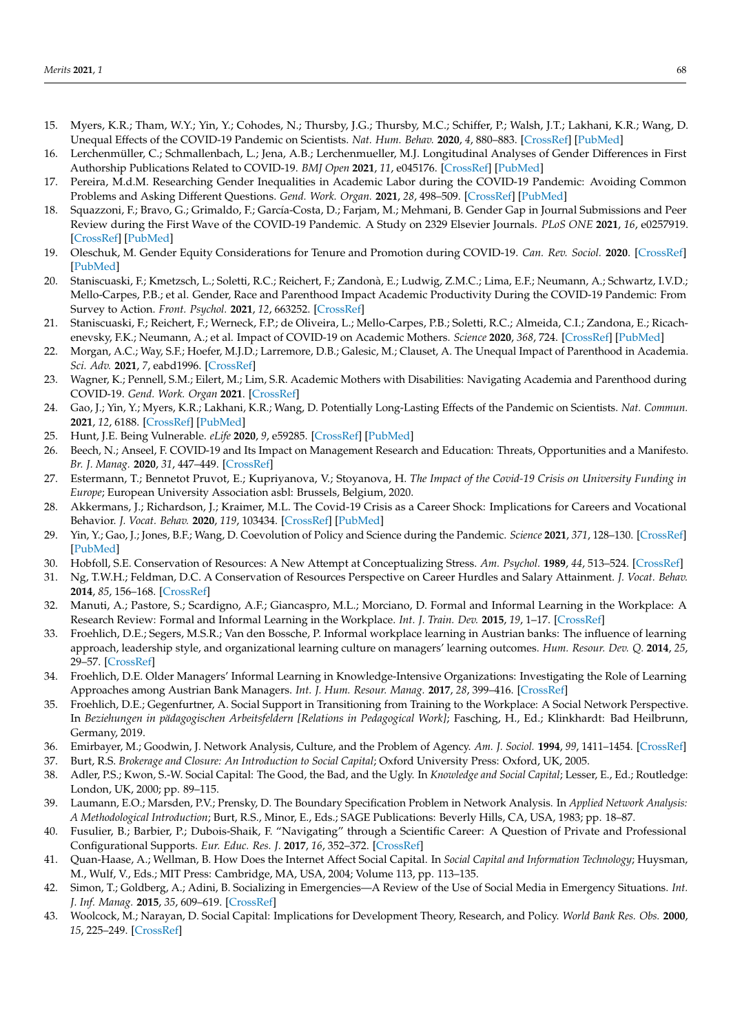- <span id="page-7-0"></span>15. Myers, K.R.; Tham, W.Y.; Yin, Y.; Cohodes, N.; Thursby, J.G.; Thursby, M.C.; Schiffer, P.; Walsh, J.T.; Lakhani, K.R.; Wang, D. Unequal Effects of the COVID-19 Pandemic on Scientists. *Nat. Hum. Behav.* **2020**, *4*, 880–883. [\[CrossRef\]](http://doi.org/10.1038/s41562-020-0921-y) [\[PubMed\]](http://www.ncbi.nlm.nih.gov/pubmed/32669671)
- <span id="page-7-1"></span>16. Lerchenmüller, C.; Schmallenbach, L.; Jena, A.B.; Lerchenmueller, M.J. Longitudinal Analyses of Gender Differences in First Authorship Publications Related to COVID-19. *BMJ Open* **2021**, *11*, e045176. [\[CrossRef\]](http://doi.org/10.1136/bmjopen-2020-045176) [\[PubMed\]](http://www.ncbi.nlm.nih.gov/pubmed/33820790)
- 17. Pereira, M.d.M. Researching Gender Inequalities in Academic Labor during the COVID-19 Pandemic: Avoiding Common Problems and Asking Different Questions. *Gend. Work. Organ.* **2021**, *28*, 498–509. [\[CrossRef\]](http://doi.org/10.1111/gwao.12618) [\[PubMed\]](http://www.ncbi.nlm.nih.gov/pubmed/33821108)
- 18. Squazzoni, F.; Bravo, G.; Grimaldo, F.; García-Costa, D.; Farjam, M.; Mehmani, B. Gender Gap in Journal Submissions and Peer Review during the First Wave of the COVID-19 Pandemic. A Study on 2329 Elsevier Journals. *PLoS ONE* **2021**, *16*, e0257919. [\[CrossRef\]](http://doi.org/10.1371/journal.pone.0257919) [\[PubMed\]](http://www.ncbi.nlm.nih.gov/pubmed/34669713)
- <span id="page-7-2"></span>19. Oleschuk, M. Gender Equity Considerations for Tenure and Promotion during COVID-19. *Can. Rev. Sociol.* **2020**. [\[CrossRef\]](http://doi.org/10.1111/cars.12295) [\[PubMed\]](http://www.ncbi.nlm.nih.gov/pubmed/32779307)
- <span id="page-7-3"></span>20. Staniscuaski, F.; Kmetzsch, L.; Soletti, R.C.; Reichert, F.; Zandonà, E.; Ludwig, Z.M.C.; Lima, E.F.; Neumann, A.; Schwartz, I.V.D.; Mello-Carpes, P.B.; et al. Gender, Race and Parenthood Impact Academic Productivity During the COVID-19 Pandemic: From Survey to Action. *Front. Psychol.* **2021**, *12*, 663252. [\[CrossRef\]](http://doi.org/10.3389/fpsyg.2021.663252)
- 21. Staniscuaski, F.; Reichert, F.; Werneck, F.P.; de Oliveira, L.; Mello-Carpes, P.B.; Soletti, R.C.; Almeida, C.I.; Zandona, E.; Ricachenevsky, F.K.; Neumann, A.; et al. Impact of COVID-19 on Academic Mothers. *Science* **2020**, *368*, 724. [\[CrossRef\]](http://doi.org/10.1126/science.abc2740) [\[PubMed\]](http://www.ncbi.nlm.nih.gov/pubmed/32409466)
- <span id="page-7-4"></span>22. Morgan, A.C.; Way, S.F.; Hoefer, M.J.D.; Larremore, D.B.; Galesic, M.; Clauset, A. The Unequal Impact of Parenthood in Academia. *Sci. Adv.* **2021**, *7*, eabd1996. [\[CrossRef\]](http://doi.org/10.1126/sciadv.abd1996)
- <span id="page-7-5"></span>23. Wagner, K.; Pennell, S.M.; Eilert, M.; Lim, S.R. Academic Mothers with Disabilities: Navigating Academia and Parenthood during COVID-19. *Gend. Work. Organ* **2021**. [\[CrossRef\]](http://doi.org/10.1111/gwao.12751)
- <span id="page-7-6"></span>24. Gao, J.; Yin, Y.; Myers, K.R.; Lakhani, K.R.; Wang, D. Potentially Long-Lasting Effects of the Pandemic on Scientists. *Nat. Commun.* **2021**, *12*, 6188. [\[CrossRef\]](http://doi.org/10.1038/s41467-021-26428-z) [\[PubMed\]](http://www.ncbi.nlm.nih.gov/pubmed/34702862)
- <span id="page-7-7"></span>25. Hunt, J.E. Being Vulnerable. *eLife* **2020**, *9*, e59285. [\[CrossRef\]](http://doi.org/10.7554/eLife.59285) [\[PubMed\]](http://www.ncbi.nlm.nih.gov/pubmed/32538353)
- <span id="page-7-8"></span>26. Beech, N.; Anseel, F. COVID-19 and Its Impact on Management Research and Education: Threats, Opportunities and a Manifesto. *Br. J. Manag.* **2020**, *31*, 447–449. [\[CrossRef\]](http://doi.org/10.1111/1467-8551.12421)
- <span id="page-7-9"></span>27. Estermann, T.; Bennetot Pruvot, E.; Kupriyanova, V.; Stoyanova, H. *The Impact of the Covid-19 Crisis on University Funding in Europe*; European University Association asbl: Brussels, Belgium, 2020.
- <span id="page-7-10"></span>28. Akkermans, J.; Richardson, J.; Kraimer, M.L. The Covid-19 Crisis as a Career Shock: Implications for Careers and Vocational Behavior. *J. Vocat. Behav.* **2020**, *119*, 103434. [\[CrossRef\]](http://doi.org/10.1016/j.jvb.2020.103434) [\[PubMed\]](http://www.ncbi.nlm.nih.gov/pubmed/32390655)
- <span id="page-7-11"></span>29. Yin, Y.; Gao, J.; Jones, B.F.; Wang, D. Coevolution of Policy and Science during the Pandemic. *Science* **2021**, *371*, 128–130. [\[CrossRef\]](http://doi.org/10.1126/science.abe3084) [\[PubMed\]](http://www.ncbi.nlm.nih.gov/pubmed/33414211)
- <span id="page-7-12"></span>30. Hobfoll, S.E. Conservation of Resources: A New Attempt at Conceptualizing Stress. *Am. Psychol.* **1989**, *44*, 513–524. [\[CrossRef\]](http://doi.org/10.1037/0003-066X.44.3.513)
- <span id="page-7-13"></span>31. Ng, T.W.H.; Feldman, D.C. A Conservation of Resources Perspective on Career Hurdles and Salary Attainment. *J. Vocat. Behav.* **2014**, *85*, 156–168. [\[CrossRef\]](http://doi.org/10.1016/j.jvb.2014.05.008)
- <span id="page-7-14"></span>32. Manuti, A.; Pastore, S.; Scardigno, A.F.; Giancaspro, M.L.; Morciano, D. Formal and Informal Learning in the Workplace: A Research Review: Formal and Informal Learning in the Workplace. *Int. J. Train. Dev.* **2015**, *19*, 1–17. [\[CrossRef\]](http://doi.org/10.1111/ijtd.12044)
- 33. Froehlich, D.E.; Segers, M.S.R.; Van den Bossche, P. Informal workplace learning in Austrian banks: The influence of learning approach, leadership style, and organizational learning culture on managers' learning outcomes. *Hum. Resour. Dev. Q.* **2014**, *25*, 29–57. [\[CrossRef\]](http://doi.org/10.1002/hrdq.21173)
- 34. Froehlich, D.E. Older Managers' Informal Learning in Knowledge-Intensive Organizations: Investigating the Role of Learning Approaches among Austrian Bank Managers. *Int. J. Hum. Resour. Manag.* **2017**, *28*, 399–416. [\[CrossRef\]](http://doi.org/10.1080/09585192.2016.1244897)
- <span id="page-7-15"></span>35. Froehlich, D.E.; Gegenfurtner, A. Social Support in Transitioning from Training to the Workplace: A Social Network Perspective. In *Beziehungen in pädagogischen Arbeitsfeldern [Relations in Pedagogical Work]*; Fasching, H., Ed.; Klinkhardt: Bad Heilbrunn, Germany, 2019.
- <span id="page-7-16"></span>36. Emirbayer, M.; Goodwin, J. Network Analysis, Culture, and the Problem of Agency. *Am. J. Sociol.* **1994**, *99*, 1411–1454. [\[CrossRef\]](http://doi.org/10.1086/230450)
- <span id="page-7-17"></span>37. Burt, R.S. *Brokerage and Closure: An Introduction to Social Capital*; Oxford University Press: Oxford, UK, 2005.
- <span id="page-7-18"></span>38. Adler, P.S.; Kwon, S.-W. Social Capital: The Good, the Bad, and the Ugly. In *Knowledge and Social Capital*; Lesser, E., Ed.; Routledge: London, UK, 2000; pp. 89–115.
- <span id="page-7-19"></span>39. Laumann, E.O.; Marsden, P.V.; Prensky, D. The Boundary Specification Problem in Network Analysis. In *Applied Network Analysis: A Methodological Introduction*; Burt, R.S., Minor, E., Eds.; SAGE Publications: Beverly Hills, CA, USA, 1983; pp. 18–87.
- <span id="page-7-20"></span>40. Fusulier, B.; Barbier, P.; Dubois-Shaik, F. "Navigating" through a Scientific Career: A Question of Private and Professional Configurational Supports. *Eur. Educ. Res. J.* **2017**, *16*, 352–372. [\[CrossRef\]](http://doi.org/10.1177/1474904117691983)
- <span id="page-7-21"></span>41. Quan-Haase, A.; Wellman, B. How Does the Internet Affect Social Capital. In *Social Capital and Information Technology*; Huysman, M., Wulf, V., Eds.; MIT Press: Cambridge, MA, USA, 2004; Volume 113, pp. 113–135.
- <span id="page-7-22"></span>42. Simon, T.; Goldberg, A.; Adini, B. Socializing in Emergencies—A Review of the Use of Social Media in Emergency Situations. *Int. J. Inf. Manag.* **2015**, *35*, 609–619. [\[CrossRef\]](http://doi.org/10.1016/j.ijinfomgt.2015.07.001)
- <span id="page-7-23"></span>43. Woolcock, M.; Narayan, D. Social Capital: Implications for Development Theory, Research, and Policy. *World Bank Res. Obs.* **2000**, *15*, 225–249. [\[CrossRef\]](http://doi.org/10.1093/wbro/15.2.225)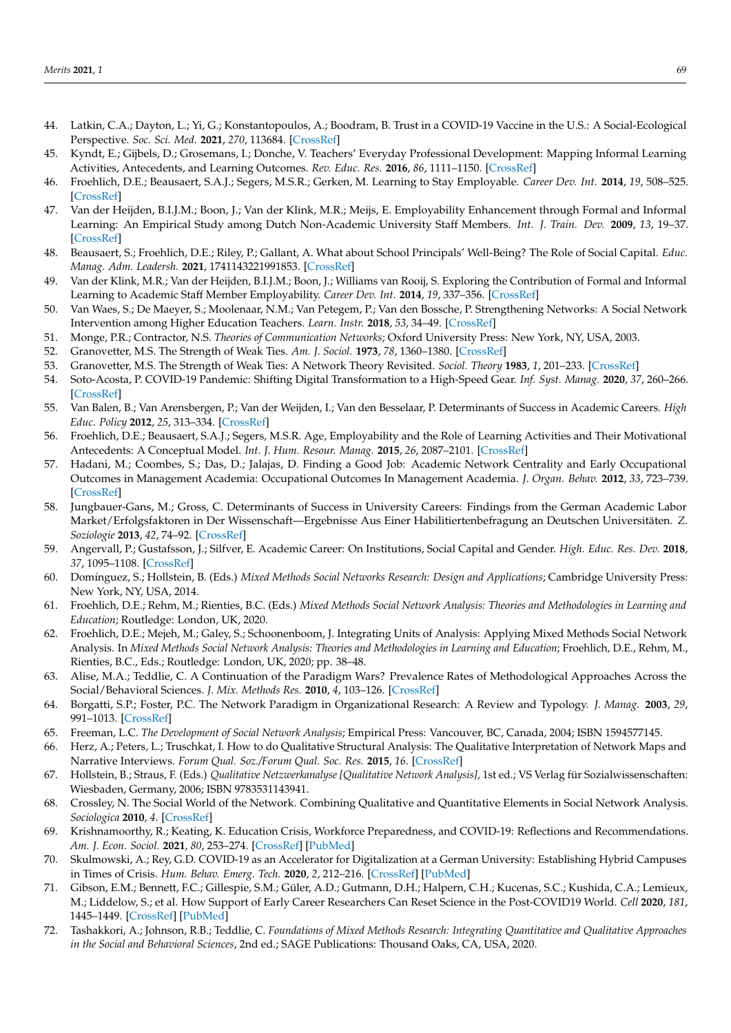- <span id="page-8-0"></span>44. Latkin, C.A.; Dayton, L.; Yi, G.; Konstantopoulos, A.; Boodram, B. Trust in a COVID-19 Vaccine in the U.S.: A Social-Ecological Perspective. *Soc. Sci. Med.* **2021**, *270*, 113684. [\[CrossRef\]](http://doi.org/10.1016/j.socscimed.2021.113684)
- <span id="page-8-1"></span>45. Kyndt, E.; Gijbels, D.; Grosemans, I.; Donche, V. Teachers' Everyday Professional Development: Mapping Informal Learning Activities, Antecedents, and Learning Outcomes. *Rev. Educ. Res.* **2016**, *86*, 1111–1150. [\[CrossRef\]](http://doi.org/10.3102/0034654315627864)
- <span id="page-8-2"></span>46. Froehlich, D.E.; Beausaert, S.A.J.; Segers, M.S.R.; Gerken, M. Learning to Stay Employable. *Career Dev. Int.* **2014**, *19*, 508–525. [\[CrossRef\]](http://doi.org/10.1108/CDI-11-2013-0139)
- <span id="page-8-3"></span>47. Van der Heijden, B.I.J.M.; Boon, J.; Van der Klink, M.R.; Meijs, E. Employability Enhancement through Formal and Informal Learning: An Empirical Study among Dutch Non-Academic University Staff Members. *Int. J. Train. Dev.* **2009**, *13*, 19–37. [\[CrossRef\]](http://doi.org/10.1111/j.1468-2419.2008.00313.x)
- <span id="page-8-4"></span>48. Beausaert, S.; Froehlich, D.E.; Riley, P.; Gallant, A. What about School Principals' Well-Being? The Role of Social Capital. *Educ. Manag. Adm. Leadersh.* **2021**, 1741143221991853. [\[CrossRef\]](http://doi.org/10.1177/1741143221991853)
- <span id="page-8-5"></span>49. Van der Klink, M.R.; Van der Heijden, B.I.J.M.; Boon, J.; Williams van Rooij, S. Exploring the Contribution of Formal and Informal Learning to Academic Staff Member Employability. *Career Dev. Int.* **2014**, *19*, 337–356. [\[CrossRef\]](http://doi.org/10.1108/CDI-03-2013-0030)
- <span id="page-8-6"></span>50. Van Waes, S.; De Maeyer, S.; Moolenaar, N.M.; Van Petegem, P.; Van den Bossche, P. Strengthening Networks: A Social Network Intervention among Higher Education Teachers. *Learn. Instr.* **2018**, *53*, 34–49. [\[CrossRef\]](http://doi.org/10.1016/j.learninstruc.2017.07.005)
- <span id="page-8-7"></span>51. Monge, P.R.; Contractor, N.S. *Theories of Communication Networks*; Oxford University Press: New York, NY, USA, 2003.
- <span id="page-8-8"></span>52. Granovetter, M.S. The Strength of Weak Ties. *Am. J. Sociol.* **1973**, *78*, 1360–1380. [\[CrossRef\]](http://doi.org/10.1086/225469)
- <span id="page-8-9"></span>53. Granovetter, M.S. The Strength of Weak Ties: A Network Theory Revisited. *Sociol. Theory* **1983**, *1*, 201–233. [\[CrossRef\]](http://doi.org/10.2307/202051)
- <span id="page-8-10"></span>54. Soto-Acosta, P. COVID-19 Pandemic: Shifting Digital Transformation to a High-Speed Gear. *Inf. Syst. Manag.* **2020**, *37*, 260–266. [\[CrossRef\]](http://doi.org/10.1080/10580530.2020.1814461)
- <span id="page-8-11"></span>55. Van Balen, B.; Van Arensbergen, P.; Van der Weijden, I.; Van den Besselaar, P. Determinants of Success in Academic Careers. *High Educ. Policy* **2012**, *25*, 313–334. [\[CrossRef\]](http://doi.org/10.1057/hep.2012.14)
- <span id="page-8-12"></span>56. Froehlich, D.E.; Beausaert, S.A.J.; Segers, M.S.R. Age, Employability and the Role of Learning Activities and Their Motivational Antecedents: A Conceptual Model. *Int. J. Hum. Resour. Manag.* **2015**, *26*, 2087–2101. [\[CrossRef\]](http://doi.org/10.1080/09585192.2014.971846)
- <span id="page-8-13"></span>57. Hadani, M.; Coombes, S.; Das, D.; Jalajas, D. Finding a Good Job: Academic Network Centrality and Early Occupational Outcomes in Management Academia: Occupational Outcomes In Management Academia. *J. Organ. Behav.* **2012**, *33*, 723–739. [\[CrossRef\]](http://doi.org/10.1002/job.788)
- <span id="page-8-14"></span>58. Jungbauer-Gans, M.; Gross, C. Determinants of Success in University Careers: Findings from the German Academic Labor Market/Erfolgsfaktoren in Der Wissenschaft—Ergebnisse Aus Einer Habilitiertenbefragung an Deutschen Universitäten. *Z. Soziologie* **2013**, *42*, 74–92. [\[CrossRef\]](http://doi.org/10.1515/zfsoz-2013-0106)
- <span id="page-8-15"></span>59. Angervall, P.; Gustafsson, J.; Silfver, E. Academic Career: On Institutions, Social Capital and Gender. *High. Educ. Res. Dev.* **2018**, *37*, 1095–1108. [\[CrossRef\]](http://doi.org/10.1080/07294360.2018.1477743)
- <span id="page-8-16"></span>60. Domínguez, S.; Hollstein, B. (Eds.) *Mixed Methods Social Networks Research: Design and Applications*; Cambridge University Press: New York, NY, USA, 2014.
- <span id="page-8-17"></span>61. Froehlich, D.E.; Rehm, M.; Rienties, B.C. (Eds.) *Mixed Methods Social Network Analysis: Theories and Methodologies in Learning and Education*; Routledge: London, UK, 2020.
- <span id="page-8-18"></span>62. Froehlich, D.E.; Mejeh, M.; Galey, S.; Schoonenboom, J. Integrating Units of Analysis: Applying Mixed Methods Social Network Analysis. In *Mixed Methods Social Network Analysis: Theories and Methodologies in Learning and Education*; Froehlich, D.E., Rehm, M., Rienties, B.C., Eds.; Routledge: London, UK, 2020; pp. 38–48.
- <span id="page-8-19"></span>63. Alise, M.A.; Teddlie, C. A Continuation of the Paradigm Wars? Prevalence Rates of Methodological Approaches Across the Social/Behavioral Sciences. *J. Mix. Methods Res.* **2010**, *4*, 103–126. [\[CrossRef\]](http://doi.org/10.1177/1558689809360805)
- <span id="page-8-20"></span>64. Borgatti, S.P.; Foster, P.C. The Network Paradigm in Organizational Research: A Review and Typology. *J. Manag.* **2003**, *29*, 991–1013. [\[CrossRef\]](http://doi.org/10.1016/S0149-2063(03)00087-4)
- <span id="page-8-21"></span>65. Freeman, L.C. *The Development of Social Network Analysis*; Empirical Press: Vancouver, BC, Canada, 2004; ISBN 1594577145.
- <span id="page-8-22"></span>66. Herz, A.; Peters, L.; Truschkat, I. How to do Qualitative Structural Analysis: The Qualitative Interpretation of Network Maps and Narrative Interviews. *Forum Qual. Soz./Forum Qual. Soc. Res.* **2015**, *16*. [\[CrossRef\]](http://doi.org/10.17169/fqs-16.1.2092)
- <span id="page-8-23"></span>67. Hollstein, B.; Straus, F. (Eds.) *Qualitative Netzwerkanalyse [Qualitative Network Analysis]*, 1st ed.; VS Verlag für Sozialwissenschaften: Wiesbaden, Germany, 2006; ISBN 9783531143941.
- <span id="page-8-24"></span>68. Crossley, N. The Social World of the Network. Combining Qualitative and Quantitative Elements in Social Network Analysis. *Sociologica* **2010**, *4*. [\[CrossRef\]](http://doi.org/10.2383/32049)
- <span id="page-8-25"></span>69. Krishnamoorthy, R.; Keating, K. Education Crisis, Workforce Preparedness, and COVID-19: Reflections and Recommendations. *Am. J. Econ. Sociol.* **2021**, *80*, 253–274. [\[CrossRef\]](http://doi.org/10.1111/ajes.12376) [\[PubMed\]](http://www.ncbi.nlm.nih.gov/pubmed/34230670)
- <span id="page-8-26"></span>70. Skulmowski, A.; Rey, G.D. COVID-19 as an Accelerator for Digitalization at a German University: Establishing Hybrid Campuses in Times of Crisis. *Hum. Behav. Emerg. Tech.* **2020**, *2*, 212–216. [\[CrossRef\]](http://doi.org/10.1002/hbe2.201) [\[PubMed\]](http://www.ncbi.nlm.nih.gov/pubmed/32838228)
- <span id="page-8-27"></span>71. Gibson, E.M.; Bennett, F.C.; Gillespie, S.M.; Güler, A.D.; Gutmann, D.H.; Halpern, C.H.; Kucenas, S.C.; Kushida, C.A.; Lemieux, M.; Liddelow, S.; et al. How Support of Early Career Researchers Can Reset Science in the Post-COVID19 World. *Cell* **2020**, *181*, 1445–1449. [\[CrossRef\]](http://doi.org/10.1016/j.cell.2020.05.045) [\[PubMed\]](http://www.ncbi.nlm.nih.gov/pubmed/32533917)
- <span id="page-8-28"></span>72. Tashakkori, A.; Johnson, R.B.; Teddlie, C. *Foundations of Mixed Methods Research: Integrating Quantitative and Qualitative Approaches in the Social and Behavioral Sciences*, 2nd ed.; SAGE Publications: Thousand Oaks, CA, USA, 2020.